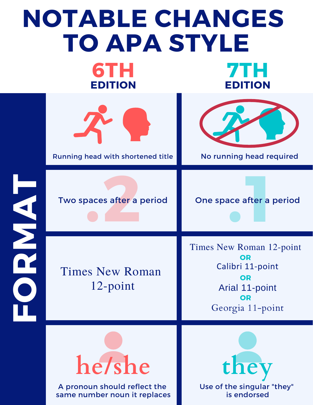## **NOTABLE CHANGES TO APA STYLE**

**6TH EDITION**



**7TH**

**EDITION**



A pronoun should reflect the same number noun it replaces Use of the singular "they" is endorsed